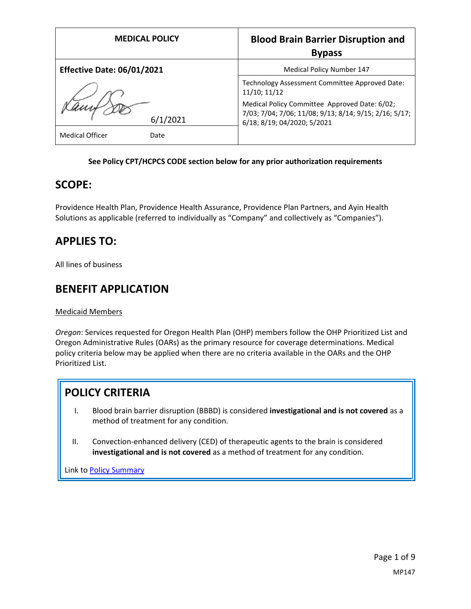| <b>MEDICAL POLICY</b>             | <b>Blood Brain Barrier Disruption and</b><br><b>Bypass</b>                                                                             |
|-----------------------------------|----------------------------------------------------------------------------------------------------------------------------------------|
| <b>Effective Date: 06/01/2021</b> | <b>Medical Policy Number 147</b>                                                                                                       |
|                                   | Technology Assessment Committee Approved Date:<br>11/10; 11/12                                                                         |
| 6/1/2021                          | Medical Policy Committee Approved Date: 6/02;<br>7/03; 7/04; 7/06; 11/08; 9/13; 8/14; 9/15; 2/16; 5/17;<br>6/18; 8/19; 04/2020; 5/2021 |
| <b>Medical Officer</b><br>Date    |                                                                                                                                        |

### **See Policy CPT/HCPCS CODE section below for any prior authorization requirements**

### **SCOPE:**

Providence Health Plan, Providence Health Assurance, Providence Plan Partners, and Ayin Health Solutions as applicable (referred to individually as "Company" and collectively as "Companies").

# **APPLIES TO:**

All lines of business

## **BENEFIT APPLICATION**

Medicaid Members

*Oregon*: Services requested for Oregon Health Plan (OHP) members follow the OHP Prioritized List and Oregon Administrative Rules (OARs) as the primary resource for coverage determinations. Medical policy criteria below may be applied when there are no criteria available in the OARs and the OHP Prioritized List.

# **POLICY CRITERIA**

- I. Blood brain barrier disruption (BBBD) is considered **investigational and is not covered** as a method of treatment for any condition.
- II. Convection-enhanced delivery (CED) of therapeutic agents to the brain is considered **investigational and is not covered** as a method of treatment for any condition.

Link t[o Policy Summary](#page-6-0)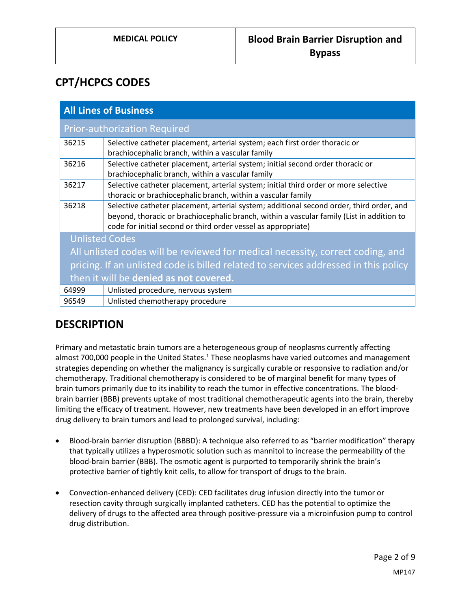# **CPT/HCPCS CODES**

| <b>All Lines of Business</b>                                                        |                                                                                                                                                                                                                                                        |
|-------------------------------------------------------------------------------------|--------------------------------------------------------------------------------------------------------------------------------------------------------------------------------------------------------------------------------------------------------|
| <b>Prior-authorization Required</b>                                                 |                                                                                                                                                                                                                                                        |
| 36215                                                                               | Selective catheter placement, arterial system; each first order thoracic or<br>brachiocephalic branch, within a vascular family                                                                                                                        |
| 36216                                                                               | Selective catheter placement, arterial system; initial second order thoracic or<br>brachiocephalic branch, within a vascular family                                                                                                                    |
| 36217                                                                               | Selective catheter placement, arterial system; initial third order or more selective<br>thoracic or brachiocephalic branch, within a vascular family                                                                                                   |
| 36218                                                                               | Selective catheter placement, arterial system; additional second order, third order, and<br>beyond, thoracic or brachiocephalic branch, within a vascular family (List in addition to<br>code for initial second or third order vessel as appropriate) |
| <b>Unlisted Codes</b>                                                               |                                                                                                                                                                                                                                                        |
| All unlisted codes will be reviewed for medical necessity, correct coding, and      |                                                                                                                                                                                                                                                        |
| pricing. If an unlisted code is billed related to services addressed in this policy |                                                                                                                                                                                                                                                        |
| then it will be denied as not covered.                                              |                                                                                                                                                                                                                                                        |
| 64999                                                                               | Unlisted procedure, nervous system                                                                                                                                                                                                                     |
| 96549                                                                               | Unlisted chemotherapy procedure                                                                                                                                                                                                                        |

## **DESCRIPTION**

Primary and metastatic brain tumors are a heterogeneous group of neoplasms currently affecting almost 700,000 people in the United States. $1$  These neoplasms have varied outcomes and management strategies depending on whether the malignancy is surgically curable or responsive to radiation and/or chemotherapy. Traditional chemotherapy is considered to be of marginal benefit for many types of brain tumors primarily due to its inability to reach the tumor in effective concentrations. The bloodbrain barrier (BBB) prevents uptake of most traditional chemotherapeutic agents into the brain, thereby limiting the efficacy of treatment. However, new treatments have been developed in an effort improve drug delivery to brain tumors and lead to prolonged survival, including:

- Blood-brain barrier disruption (BBBD): A technique also referred to as "barrier modification" therapy that typically utilizes a hyperosmotic solution such as mannitol to increase the permeability of the blood-brain barrier (BBB). The osmotic agent is purported to temporarily shrink the brain's protective barrier of tightly knit cells, to allow for transport of drugs to the brain.
- Convection-enhanced delivery (CED): CED facilitates drug infusion directly into the tumor or resection cavity through surgically implanted catheters. CED has the potential to optimize the delivery of drugs to the affected area through positive-pressure via a microinfusion pump to control drug distribution.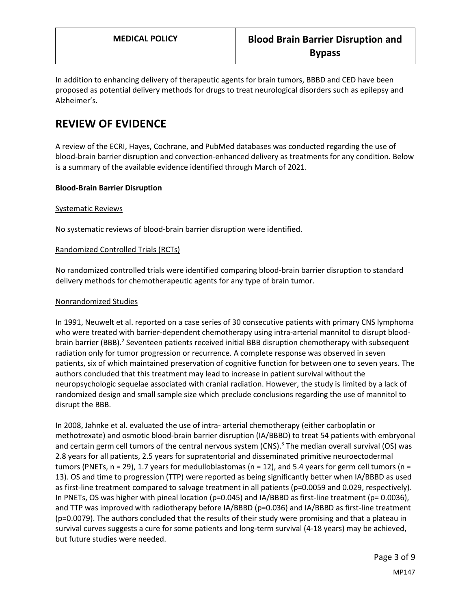In addition to enhancing delivery of therapeutic agents for brain tumors, BBBD and CED have been proposed as potential delivery methods for drugs to treat neurological disorders such as epilepsy and Alzheimer's.

# **REVIEW OF EVIDENCE**

A review of the ECRI, Hayes, Cochrane, and PubMed databases was conducted regarding the use of blood-brain barrier disruption and convection-enhanced delivery as treatments for any condition. Below is a summary of the available evidence identified through March of 2021.

### **Blood-Brain Barrier Disruption**

#### Systematic Reviews

No systematic reviews of blood-brain barrier disruption were identified.

### Randomized Controlled Trials (RCTs)

No randomized controlled trials were identified comparing blood-brain barrier disruption to standard delivery methods for chemotherapeutic agents for any type of brain tumor.

#### Nonrandomized Studies

In 1991, Neuwelt et al. reported on a case series of 30 consecutive patients with primary CNS lymphoma who were treated with barrier-dependent chemotherapy using intra-arterial mannitol to disrupt bloodbrain barrier (BBB).<sup>2</sup> Seventeen patients received initial BBB disruption chemotherapy with subsequent radiation only for tumor progression or recurrence. A complete response was observed in seven patients, six of which maintained preservation of cognitive function for between one to seven years. The authors concluded that this treatment may lead to increase in patient survival without the neuropsychologic sequelae associated with cranial radiation. However, the study is limited by a lack of randomized design and small sample size which preclude conclusions regarding the use of mannitol to disrupt the BBB.

In 2008, Jahnke et al. evaluated the use of intra- arterial chemotherapy (either carboplatin or methotrexate) and osmotic blood-brain barrier disruption (IA/BBBD) to treat 54 patients with embryonal and certain germ cell tumors of the central nervous system  $(CNS)^3$  The median overall survival  $(CS)$  was 2.8 years for all patients, 2.5 years for supratentorial and disseminated primitive neuroectodermal tumors (PNETs,  $n = 29$ ), 1.7 years for medulloblastomas ( $n = 12$ ), and 5.4 years for germ cell tumors ( $n =$ 13). OS and time to progression (TTP) were reported as being significantly better when IA/BBBD as used as first-line treatment compared to salvage treatment in all patients (p=0.0059 and 0.029, respectively). In PNETs, OS was higher with pineal location (p=0.045) and IA/BBBD as first-line treatment (p= 0.0036), and TTP was improved with radiotherapy before IA/BBBD (p=0.036) and IA/BBBD as first-line treatment (p=0.0079). The authors concluded that the results of their study were promising and that a plateau in survival curves suggests a cure for some patients and long-term survival (4-18 years) may be achieved, but future studies were needed.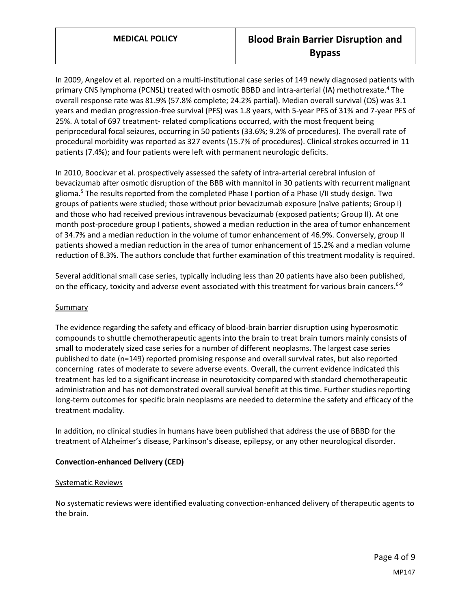In 2009, Angelov et al. reported on a multi-institutional case series of 149 newly diagnosed patients with primary CNS lymphoma (PCNSL) treated with osmotic BBBD and intra-arterial (IA) methotrexate.<sup>4</sup> The overall response rate was 81.9% (57.8% complete; 24.2% partial). Median overall survival (OS) was 3.1 years and median progression-free survival (PFS) was 1.8 years, with 5-year PFS of 31% and 7-year PFS of 25%. A total of 697 treatment- related complications occurred, with the most frequent being periprocedural focal seizures, occurring in 50 patients (33.6%; 9.2% of procedures). The overall rate of procedural morbidity was reported as 327 events (15.7% of procedures). Clinical strokes occurred in 11 patients (7.4%); and four patients were left with permanent neurologic deficits.

In 2010, Boockvar et al. prospectively assessed the safety of intra-arterial cerebral infusion of bevacizumab after osmotic disruption of the BBB with mannitol in 30 patients with recurrent malignant glioma.<sup>5</sup> The results reported from the completed Phase I portion of a Phase I/II study design. Two groups of patients were studied; those without prior bevacizumab exposure (naïve patients; Group I) and those who had received previous intravenous bevacizumab (exposed patients; Group II). At one month post-procedure group I patients, showed a median reduction in the area of tumor enhancement of 34.7% and a median reduction in the volume of tumor enhancement of 46.9%. Conversely, group II patients showed a median reduction in the area of tumor enhancement of 15.2% and a median volume reduction of 8.3%. The authors conclude that further examination of this treatment modality is required.

Several additional small case series, typically including less than 20 patients have also been published, on the efficacy, toxicity and adverse event associated with this treatment for various brain cancers.<sup>6-9</sup>

### Summary

The evidence regarding the safety and efficacy of blood-brain barrier disruption using hyperosmotic compounds to shuttle chemotherapeutic agents into the brain to treat brain tumors mainly consists of small to moderately sized case series for a number of different neoplasms. The largest case series published to date (n=149) reported promising response and overall survival rates, but also reported concerning rates of moderate to severe adverse events. Overall, the current evidence indicated this treatment has led to a significant increase in neurotoxicity compared with standard chemotherapeutic administration and has not demonstrated overall survival benefit at this time. Further studies reporting long-term outcomes for specific brain neoplasms are needed to determine the safety and efficacy of the treatment modality.

In addition, no clinical studies in humans have been published that address the use of BBBD for the treatment of Alzheimer's disease, Parkinson's disease, epilepsy, or any other neurological disorder.

#### **Convection-enhanced Delivery (CED)**

#### Systematic Reviews

No systematic reviews were identified evaluating convection-enhanced delivery of therapeutic agents to the brain.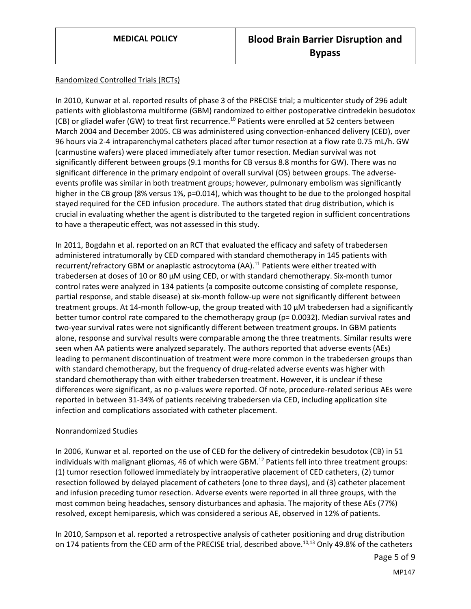#### Randomized Controlled Trials (RCTs)

In 2010, Kunwar et al. reported results of phase 3 of the PRECISE trial; a multicenter study of 296 adult patients with glioblastoma multiforme (GBM) randomized to either postoperative cintredekin besudotox (CB) or gliadel wafer (GW) to treat first recurrence.<sup>10</sup> Patients were enrolled at 52 centers between March 2004 and December 2005. CB was administered using convection-enhanced delivery (CED), over 96 hours via 2-4 intraparenchymal catheters placed after tumor resection at a flow rate 0.75 mL/h. GW (carmustine wafers) were placed immediately after tumor resection. Median survival was not significantly different between groups (9.1 months for CB versus 8.8 months for GW). There was no significant difference in the primary endpoint of overall survival (OS) between groups. The adverseevents profile was similar in both treatment groups; however, pulmonary embolism was significantly higher in the CB group (8% versus 1%, p=0.014), which was thought to be due to the prolonged hospital stayed required for the CED infusion procedure. The authors stated that drug distribution, which is crucial in evaluating whether the agent is distributed to the targeted region in sufficient concentrations to have a therapeutic effect, was not assessed in this study.

In 2011, Bogdahn et al. reported on an RCT that evaluated the efficacy and safety of trabedersen administered intratumorally by CED compared with standard chemotherapy in 145 patients with recurrent/refractory GBM or anaplastic astrocytoma (AA).<sup>11</sup> Patients were either treated with trabedersen at doses of 10 or 80 µM using CED, or with standard chemotherapy. Six-month tumor control rates were analyzed in 134 patients (a composite outcome consisting of complete response, partial response, and stable disease) at six-month follow-up were not significantly different between treatment groups. At 14-month follow-up, the group treated with 10 µM trabedersen had a significantly better tumor control rate compared to the chemotherapy group (p= 0.0032). Median survival rates and two-year survival rates were not significantly different between treatment groups. In GBM patients alone, response and survival results were comparable among the three treatments. Similar results were seen when AA patients were analyzed separately. The authors reported that adverse events (AEs) leading to permanent discontinuation of treatment were more common in the trabedersen groups than with standard chemotherapy, but the frequency of drug-related adverse events was higher with standard chemotherapy than with either trabedersen treatment. However, it is unclear if these differences were significant, as no p-values were reported. Of note, procedure-related serious AEs were reported in between 31-34% of patients receiving trabedersen via CED, including application site infection and complications associated with catheter placement.

#### Nonrandomized Studies

In 2006, Kunwar et al. reported on the use of CED for the delivery of cintredekin besudotox (CB) in 51 individuals with malignant gliomas, 46 of which were GBM.<sup>12</sup> Patients fell into three treatment groups: (1) tumor resection followed immediately by intraoperative placement of CED catheters, (2) tumor resection followed by delayed placement of catheters (one to three days), and (3) catheter placement and infusion preceding tumor resection. Adverse events were reported in all three groups, with the most common being headaches, sensory disturbances and aphasia. The majority of these AEs (77%) resolved, except hemiparesis, which was considered a serious AE, observed in 12% of patients.

In 2010, Sampson et al. reported a retrospective analysis of catheter positioning and drug distribution on 174 patients from the CED arm of the PRECISE trial, described above.<sup>10,13</sup> Only 49.8% of the catheters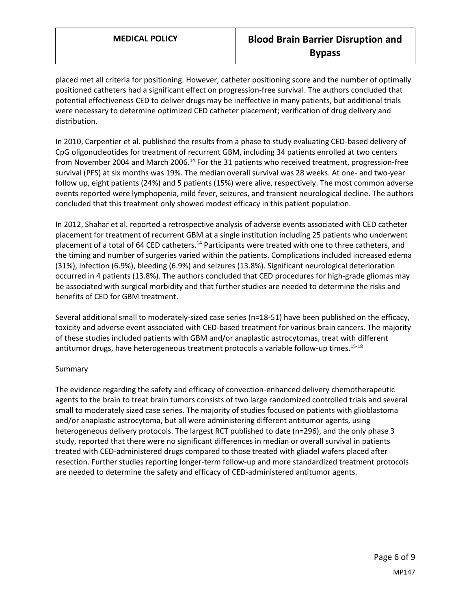placed met all criteria for positioning. However, catheter positioning score and the number of optimally positioned catheters had a significant effect on progression-free survival. The authors concluded that potential effectiveness CED to deliver drugs may be ineffective in many patients, but additional trials were necessary to determine optimized CED catheter placement; verification of drug delivery and distribution.

In 2010, Carpentier et al. published the results from a phase to study evaluating CED-based delivery of CpG oligonucleotides for treatment of recurrent GBM, including 34 patients enrolled at two centers from November 2004 and March 2006.<sup>14</sup> For the 31 patients who received treatment, progression-free survival (PFS) at six months was 19%. The median overall survival was 28 weeks. At one- and two-year follow up, eight patients (24%) and 5 patients (15%) were alive, respectively. The most common adverse events reported were lymphopenia, mild fever, seizures, and transient neurological decline. The authors concluded that this treatment only showed modest efficacy in this patient population.

In 2012, Shahar et al. reported a retrospective analysis of adverse events associated with CED catheter placement for treatment of recurrent GBM at a single institution including 25 patients who underwent placement of a total of 64 CED catheters.<sup>14</sup> Participants were treated with one to three catheters, and the timing and number of surgeries varied within the patients. Complications included increased edema (31%), infection (6.9%), bleeding (6.9%) and seizures (13.8%). Significant neurological deterioration occurred in 4 patients (13.8%). The authors concluded that CED procedures for high-grade gliomas may be associated with surgical morbidity and that further studies are needed to determine the risks and benefits of CED for GBM treatment.

Several additional small to moderately-sized case series (n=18-51) have been published on the efficacy, toxicity and adverse event associated with CED-based treatment for various brain cancers. The majority of these studies included patients with GBM and/or anaplastic astrocytomas, treat with different antitumor drugs, have heterogeneous treatment protocols a variable follow-up times.<sup>15-18</sup>

### **Summary**

The evidence regarding the safety and efficacy of convection-enhanced delivery chemotherapeutic agents to the brain to treat brain tumors consists of two large randomized controlled trials and several small to moderately sized case series. The majority of studies focused on patients with glioblastoma and/or anaplastic astrocytoma, but all were administering different antitumor agents, using heterogeneous delivery protocols. The largest RCT published to date (n=296), and the only phase 3 study, reported that there were no significant differences in median or overall survival in patients treated with CED-administered drugs compared to those treated with gliadel wafers placed after resection. Further studies reporting longer-term follow-up and more standardized treatment protocols are needed to determine the safety and efficacy of CED-administered antitumor agents.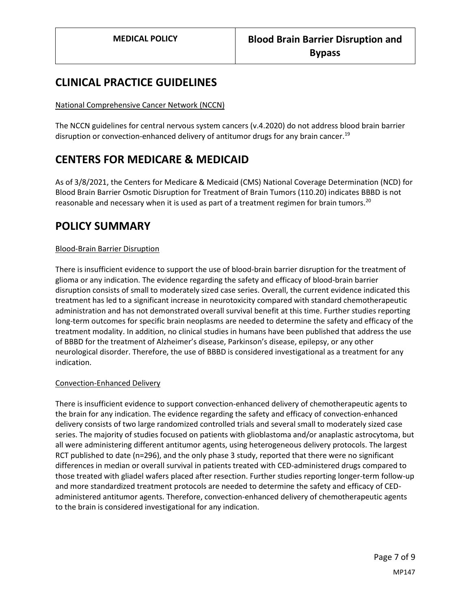## **CLINICAL PRACTICE GUIDELINES**

#### National Comprehensive Cancer Network (NCCN)

The NCCN guidelines for central nervous system cancers (v.4.2020) do not address blood brain barrier disruption or convection-enhanced delivery of antitumor drugs for any brain cancer.<sup>19</sup>

# **CENTERS FOR MEDICARE & MEDICAID**

As of 3/8/2021, the Centers for Medicare & Medicaid (CMS) National Coverage Determination (NCD) for Blood Brain Barrier Osmotic Disruption for Treatment of Brain Tumors (110.20) indicates BBBD is not reasonable and necessary when it is used as part of a treatment regimen for brain tumors.<sup>20</sup>

## **POLICY SUMMARY**

### <span id="page-6-0"></span>Blood-Brain Barrier Disruption

There is insufficient evidence to support the use of blood-brain barrier disruption for the treatment of glioma or any indication. The evidence regarding the safety and efficacy of blood-brain barrier disruption consists of small to moderately sized case series. Overall, the current evidence indicated this treatment has led to a significant increase in neurotoxicity compared with standard chemotherapeutic administration and has not demonstrated overall survival benefit at this time. Further studies reporting long-term outcomes for specific brain neoplasms are needed to determine the safety and efficacy of the treatment modality. In addition, no clinical studies in humans have been published that address the use of BBBD for the treatment of Alzheimer's disease, Parkinson's disease, epilepsy, or any other neurological disorder. Therefore, the use of BBBD is considered investigational as a treatment for any indication.

#### Convection-Enhanced Delivery

There is insufficient evidence to support convection-enhanced delivery of chemotherapeutic agents to the brain for any indication. The evidence regarding the safety and efficacy of convection-enhanced delivery consists of two large randomized controlled trials and several small to moderately sized case series. The majority of studies focused on patients with glioblastoma and/or anaplastic astrocytoma, but all were administering different antitumor agents, using heterogeneous delivery protocols. The largest RCT published to date (n=296), and the only phase 3 study, reported that there were no significant differences in median or overall survival in patients treated with CED-administered drugs compared to those treated with gliadel wafers placed after resection. Further studies reporting longer-term follow-up and more standardized treatment protocols are needed to determine the safety and efficacy of CEDadministered antitumor agents. Therefore, convection-enhanced delivery of chemotherapeutic agents to the brain is considered investigational for any indication.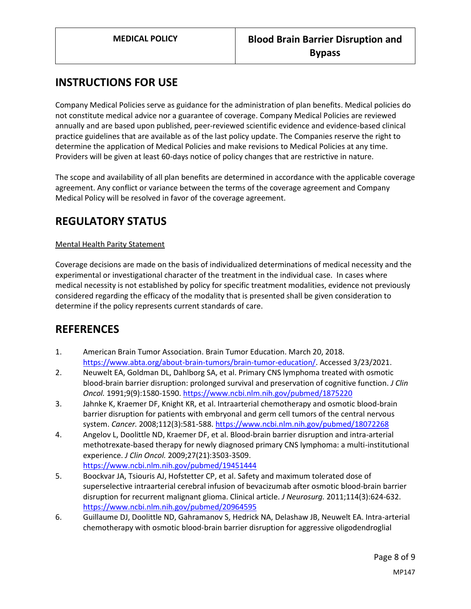# **INSTRUCTIONS FOR USE**

Company Medical Policies serve as guidance for the administration of plan benefits. Medical policies do not constitute medical advice nor a guarantee of coverage. Company Medical Policies are reviewed annually and are based upon published, peer-reviewed scientific evidence and evidence-based clinical practice guidelines that are available as of the last policy update. The Companies reserve the right to determine the application of Medical Policies and make revisions to Medical Policies at any time. Providers will be given at least 60-days notice of policy changes that are restrictive in nature.

The scope and availability of all plan benefits are determined in accordance with the applicable coverage agreement. Any conflict or variance between the terms of the coverage agreement and Company Medical Policy will be resolved in favor of the coverage agreement.

# **REGULATORY STATUS**

### Mental Health Parity Statement

Coverage decisions are made on the basis of individualized determinations of medical necessity and the experimental or investigational character of the treatment in the individual case. In cases where medical necessity is not established by policy for specific treatment modalities, evidence not previously considered regarding the efficacy of the modality that is presented shall be given consideration to determine if the policy represents current standards of care.

## **REFERENCES**

- 1. American Brain Tumor Association. Brain Tumor Education. March 20, 2018. [https://www.abta.org/about-brain-tumors/brain-tumor-education/.](https://www.abta.org/about-brain-tumors/brain-tumor-education/) Accessed 3/23/2021.
- 2. Neuwelt EA, Goldman DL, Dahlborg SA, et al. Primary CNS lymphoma treated with osmotic blood-brain barrier disruption: prolonged survival and preservation of cognitive function. *J Clin Oncol.* 1991;9(9):1580-1590.<https://www.ncbi.nlm.nih.gov/pubmed/1875220>
- 3. Jahnke K, Kraemer DF, Knight KR, et al. Intraarterial chemotherapy and osmotic blood-brain barrier disruption for patients with embryonal and germ cell tumors of the central nervous system. *Cancer.* 2008;112(3):581-588.<https://www.ncbi.nlm.nih.gov/pubmed/18072268>
- 4. Angelov L, Doolittle ND, Kraemer DF, et al. Blood-brain barrier disruption and intra-arterial methotrexate-based therapy for newly diagnosed primary CNS lymphoma: a multi-institutional experience. *J Clin Oncol.* 2009;27(21):3503-3509. <https://www.ncbi.nlm.nih.gov/pubmed/19451444>
- 5. Boockvar JA, Tsiouris AJ, Hofstetter CP, et al. Safety and maximum tolerated dose of superselective intraarterial cerebral infusion of bevacizumab after osmotic blood-brain barrier disruption for recurrent malignant glioma. Clinical article. *J Neurosurg.* 2011;114(3):624-632. <https://www.ncbi.nlm.nih.gov/pubmed/20964595>
- 6. Guillaume DJ, Doolittle ND, Gahramanov S, Hedrick NA, Delashaw JB, Neuwelt EA. Intra-arterial chemotherapy with osmotic blood-brain barrier disruption for aggressive oligodendroglial